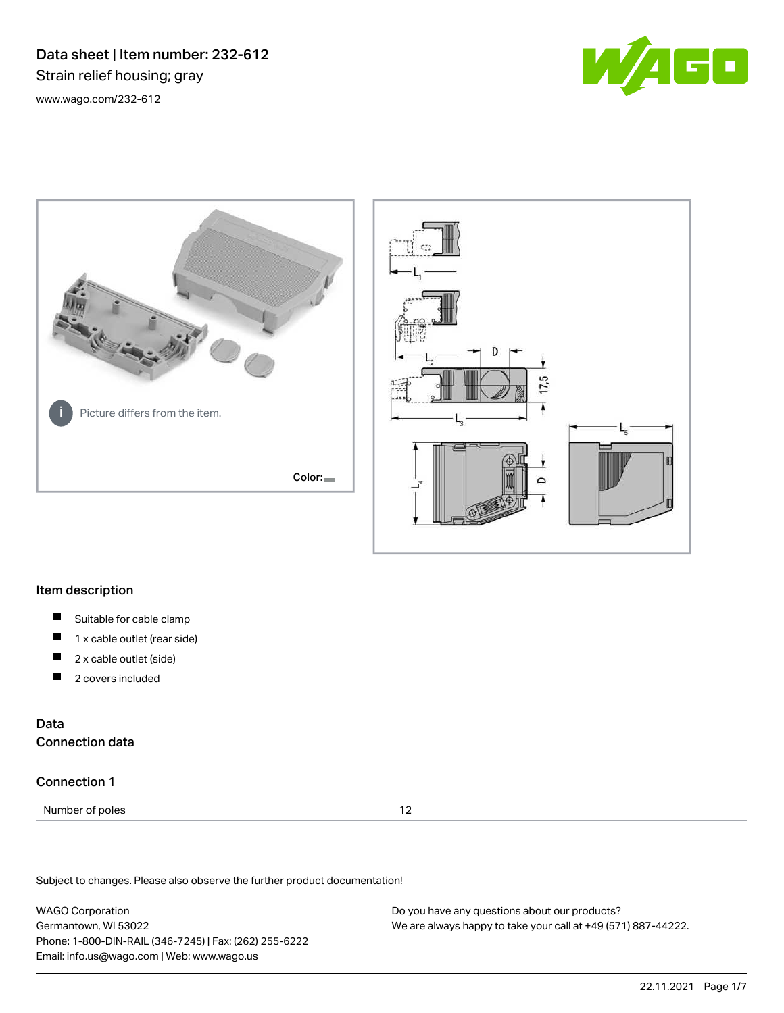Data sheet | Item number: 232-612 Strain relief housing; gray [www.wago.com/232-612](http://www.wago.com/232-612)







### Item description

- $\blacksquare$ Suitable for cable clamp
- П 1 x cable outlet (rear side)
- П 2 x cable outlet (side)
- 2 covers included П

# Data Connection data

### Connection 1

Number of poles 12

Subject to changes. Please also observe the further product documentation!

WAGO Corporation Germantown, WI 53022 Phone: 1-800-DIN-RAIL (346-7245) | Fax: (262) 255-6222 Email: info.us@wago.com | Web: www.wago.us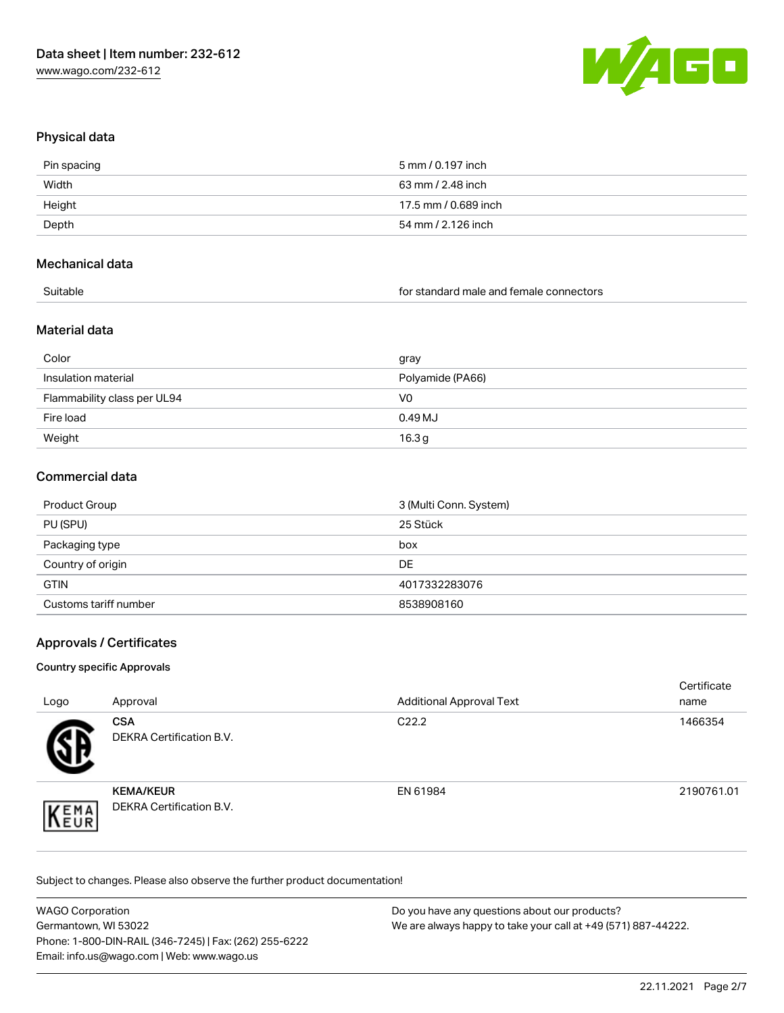

# Physical data

| Pin spacing | 5 mm / 0.197 inch    |
|-------------|----------------------|
| Width       | 63 mm / 2.48 inch    |
| Height      | 17.5 mm / 0.689 inch |
| Depth       | 54 mm / 2.126 inch   |
|             |                      |

### Mechanical data

for standard male and female connectors

# Material data

| Color                       | gray              |
|-----------------------------|-------------------|
| Insulation material         | Polyamide (PA66)  |
| Flammability class per UL94 | V0                |
| Fire load                   | 0.49 MJ           |
| Weight                      | 16.3 <sub>g</sub> |

# Commercial data

| Product Group         | 3 (Multi Conn. System) |
|-----------------------|------------------------|
| PU (SPU)              | 25 Stück               |
| Packaging type        | box                    |
| Country of origin     | DE                     |
| <b>GTIN</b>           | 4017332283076          |
| Customs tariff number | 8538908160             |

# Approvals / Certificates

### Country specific Approvals

| Logo | Approval                                            | <b>Additional Approval Text</b> | Certificate<br>name |
|------|-----------------------------------------------------|---------------------------------|---------------------|
|      | <b>CSA</b><br>DEKRA Certification B.V.              | C <sub>22.2</sub>               | 1466354             |
| EMA  | <b>KEMA/KEUR</b><br><b>DEKRA Certification B.V.</b> | EN 61984                        | 2190761.01          |

Subject to changes. Please also observe the further product documentation!

| <b>WAGO Corporation</b>                                | Do you have any questions about our products?                 |
|--------------------------------------------------------|---------------------------------------------------------------|
| Germantown, WI 53022                                   | We are always happy to take your call at +49 (571) 887-44222. |
| Phone: 1-800-DIN-RAIL (346-7245)   Fax: (262) 255-6222 |                                                               |
| Email: info.us@wago.com   Web: www.wago.us             |                                                               |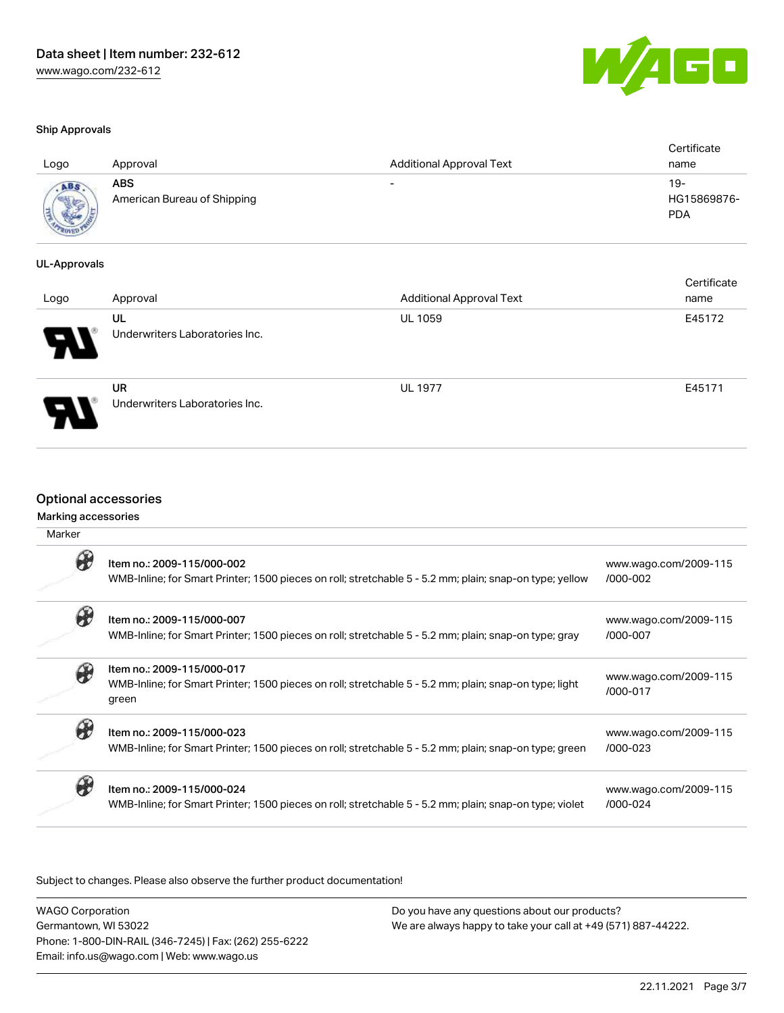

| - 17<br>AL |
|------------|
|------------|

| Logo                              | Approval                                  | <b>Additional Approval Text</b> | Certificate<br>name              |
|-----------------------------------|-------------------------------------------|---------------------------------|----------------------------------|
| ABS<br><b>SONA June</b><br>$-701$ | <b>ABS</b><br>American Bureau of Shipping | $\overline{\phantom{0}}$        | 19-<br>HG15869876-<br><b>PDA</b> |

### UL-Approvals

| Logo                  | Approval                             | <b>Additional Approval Text</b> | Certificate<br>name |
|-----------------------|--------------------------------------|---------------------------------|---------------------|
| $\boldsymbol{\theta}$ | UL<br>Underwriters Laboratories Inc. | <b>UL 1059</b>                  | E45172              |
|                       | UR<br>Underwriters Laboratories Inc. | <b>UL 1977</b>                  | E45171              |

# Optional accessories

### Marking accessories

| Marker |                                                                                                                                               |                                       |
|--------|-----------------------------------------------------------------------------------------------------------------------------------------------|---------------------------------------|
|        | Item no.: 2009-115/000-002<br>WMB-Inline; for Smart Printer; 1500 pieces on roll; stretchable 5 - 5.2 mm; plain; snap-on type; yellow         | www.wago.com/2009-115<br>/000-002     |
|        | Item no.: 2009-115/000-007<br>WMB-Inline; for Smart Printer; 1500 pieces on roll; stretchable 5 - 5.2 mm; plain; snap-on type; gray           | www.wago.com/2009-115<br>/000-007     |
|        | Item no.: 2009-115/000-017<br>WMB-Inline; for Smart Printer; 1500 pieces on roll; stretchable 5 - 5.2 mm; plain; snap-on type; light<br>green | www.wago.com/2009-115<br>/000-017     |
|        | Item no.: 2009-115/000-023<br>WMB-Inline; for Smart Printer; 1500 pieces on roll; stretchable 5 - 5.2 mm; plain; snap-on type; green          | www.wago.com/2009-115<br>/000-023     |
|        | Item no.: 2009-115/000-024<br>WMB-Inline; for Smart Printer; 1500 pieces on roll; stretchable 5 - 5.2 mm; plain; snap-on type; violet         | www.wago.com/2009-115<br>$/000 - 024$ |

Subject to changes. Please also observe the further product documentation!

| <b>WAGO Corporation</b>                                | Do you have any questions about our products?                 |
|--------------------------------------------------------|---------------------------------------------------------------|
| Germantown, WI 53022                                   | We are always happy to take your call at +49 (571) 887-44222. |
| Phone: 1-800-DIN-RAIL (346-7245)   Fax: (262) 255-6222 |                                                               |
| Email: info.us@wago.com   Web: www.wago.us             |                                                               |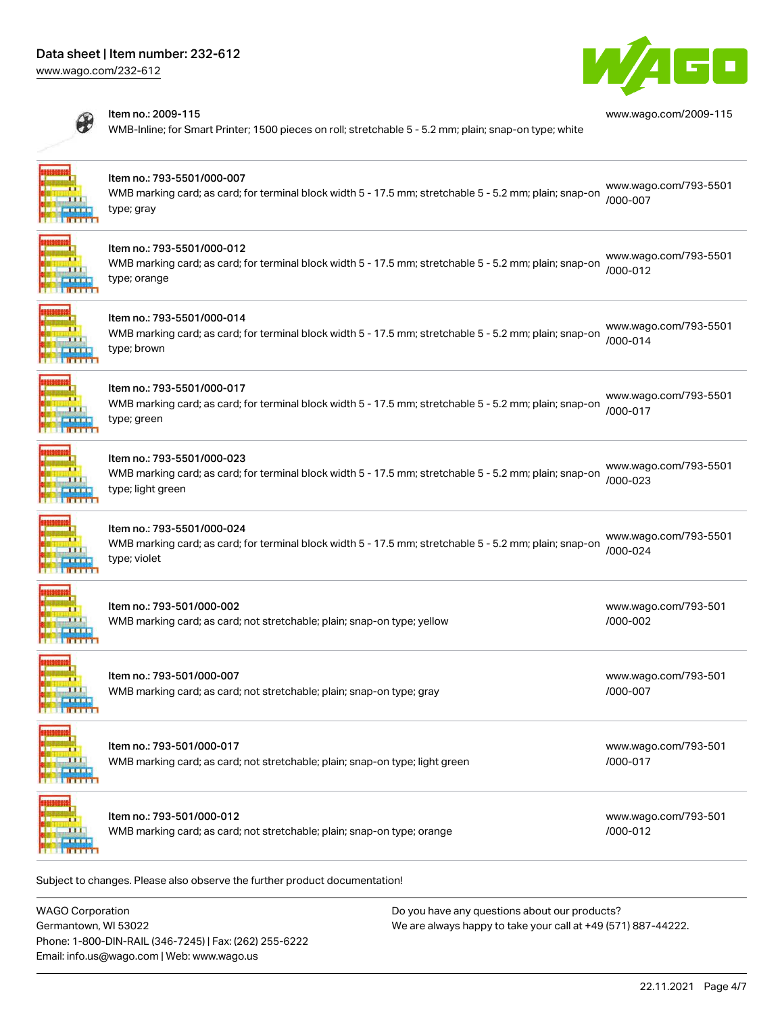# Data sheet | Item number: 232-612

[www.wago.com/232-612](http://www.wago.com/232-612)



[www.wago.com/2009-115](http://www.wago.com/2009-115)



#### Item no.: 2009-115

WMB-Inline; for Smart Printer; 1500 pieces on roll; stretchable 5 - 5.2 mm; plain; snap-on type; white



#### Item no.: 793-5501/000-007

WMB marking card; as card; for terminal block width 5 - 17.5 mm; stretchable 5 - 5.2 mm; plain; snap-on type; gray [www.wago.com/793-5501](http://www.wago.com/793-5501/000-007) [/000-007](http://www.wago.com/793-5501/000-007)



### Item no.: 793-5501/000-012

WMB marking card; as card; for terminal block width 5 - 17.5 mm; stretchable 5 - 5.2 mm; plain; snap-on type; orange [www.wago.com/793-5501](http://www.wago.com/793-5501/000-012) [/000-012](http://www.wago.com/793-5501/000-012)



### Item no.: 793-5501/000-014

WMB marking card; as card; for terminal block width 5 - 17.5 mm; stretchable 5 - 5.2 mm; plain; snap-on type; brown [www.wago.com/793-5501](http://www.wago.com/793-5501/000-014) [/000-014](http://www.wago.com/793-5501/000-014)



#### Item no.: 793-5501/000-017

WMB marking card; as card; for terminal block width 5 - 17.5 mm; stretchable 5 - 5.2 mm; plain; snap-on type; green [www.wago.com/793-5501](http://www.wago.com/793-5501/000-017) [/000-017](http://www.wago.com/793-5501/000-017)



### Item no.: 793-5501/000-023

WMB marking card; as card; for terminal block width 5 - 17.5 mm; stretchable 5 - 5.2 mm; plain; snap-on [/000-023](http://www.wago.com/793-5501/000-023) type; light green [www.wago.com/793-5501](http://www.wago.com/793-5501/000-023)



理府相相伴

用电视电视

「軽い動物」

# Item no.: 793-5501/000-024

WMB marking card; as card; for terminal block width 5 - 17.5 mm; stretchable 5 - 5.2 mm; plain; snap-on type; violet [www.wago.com/793-5501](http://www.wago.com/793-5501/000-024) [/000-024](http://www.wago.com/793-5501/000-024)

| 11<br>111<br><b>ELLIST</b><br>$\frac{1}{2}$           | Item no.: 793-501/000-002<br>WMB marking card; as card; not stretchable; plain; snap-on type; yellow      | www.wago.com/793-501<br>$/000 - 002$ |
|-------------------------------------------------------|-----------------------------------------------------------------------------------------------------------|--------------------------------------|
| <b>TELE</b><br>111<br><b>ELLIST</b><br><b>TRITITI</b> | Item no.: 793-501/000-007<br>WMB marking card; as card; not stretchable; plain; snap-on type; gray        | www.wago.com/793-501<br>/000-007     |
| 11<br>111<br><b>ELLINE</b><br><b>TRATIFICA</b>        | Item no.: 793-501/000-017<br>WMB marking card; as card; not stretchable; plain; snap-on type; light green | www.wago.com/793-501<br>/000-017     |

| ۰ |
|---|
|   |
|   |
|   |
|   |

Item no.: 793-501/000-012

WMB marking card; as card; not stretchable; plain; snap-on type; orange

[www.wago.com/793-501](http://www.wago.com/793-501/000-012) [/000-012](http://www.wago.com/793-501/000-012)

Subject to changes. Please also observe the further product documentation!

WAGO Corporation Germantown, WI 53022 Phone: 1-800-DIN-RAIL (346-7245) | Fax: (262) 255-6222 Email: info.us@wago.com | Web: www.wago.us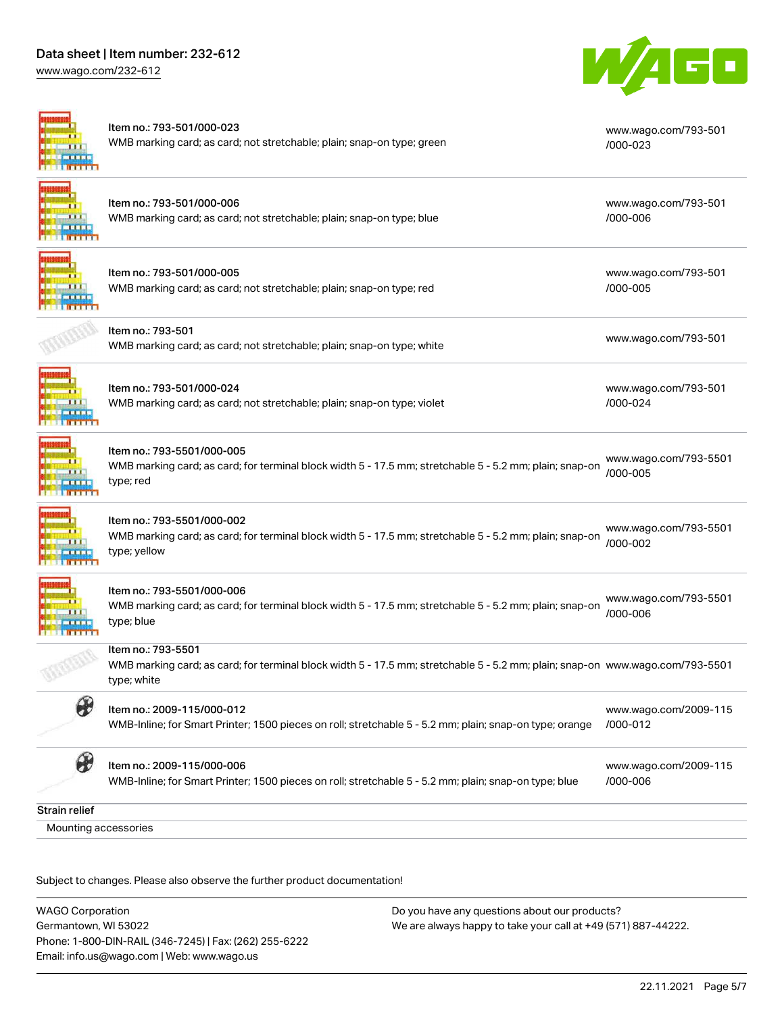# Data sheet | Item number: 232-612

[www.wago.com/232-612](http://www.wago.com/232-612)



|                              | Item no.: 793-501/000-023<br>WMB marking card; as card; not stretchable; plain; snap-on type; green                                                                | www.wago.com/793-501<br>/000-023  |
|------------------------------|--------------------------------------------------------------------------------------------------------------------------------------------------------------------|-----------------------------------|
|                              | Item no.: 793-501/000-006<br>WMB marking card; as card; not stretchable; plain; snap-on type; blue                                                                 | www.wago.com/793-501<br>/000-006  |
|                              | Item no.: 793-501/000-005<br>WMB marking card; as card; not stretchable; plain; snap-on type; red                                                                  | www.wago.com/793-501<br>/000-005  |
|                              | Item no.: 793-501<br>WMB marking card; as card; not stretchable; plain; snap-on type; white                                                                        | www.wago.com/793-501              |
|                              | Item no.: 793-501/000-024<br>WMB marking card; as card; not stretchable; plain; snap-on type; violet                                                               | www.wago.com/793-501<br>/000-024  |
|                              | Item no.: 793-5501/000-005<br>WMB marking card; as card; for terminal block width 5 - 17.5 mm; stretchable 5 - 5.2 mm; plain; snap-on<br>type; red                 | www.wago.com/793-5501<br>/000-005 |
|                              | Item no.: 793-5501/000-002<br>WMB marking card; as card; for terminal block width 5 - 17.5 mm; stretchable 5 - 5.2 mm; plain; snap-on<br>type; yellow              | www.wago.com/793-5501<br>/000-002 |
|                              | Item no.: 793-5501/000-006<br>WMB marking card; as card; for terminal block width 5 - 17.5 mm; stretchable 5 - 5.2 mm; plain; snap-on<br>type; blue                | www.wago.com/793-5501<br>/000-006 |
|                              | Item no.: 793-5501<br>WMB marking card; as card; for terminal block width 5 - 17.5 mm; stretchable 5 - 5.2 mm; plain; snap-on www.wago.com/793-5501<br>type; white |                                   |
| Æ                            | Item no.: 2009-115/000-012<br>WMB-Inline; for Smart Printer; 1500 pieces on roll; stretchable 5 - 5.2 mm; plain; snap-on type; orange                              | www.wago.com/2009-115<br>/000-012 |
| $\partial\!\!\!\!{}^{\circ}$ | Item no.: 2009-115/000-006<br>WMB-Inline; for Smart Printer; 1500 pieces on roll; stretchable 5 - 5.2 mm; plain; snap-on type; blue                                | www.wago.com/2009-115<br>/000-006 |
| <b>Strain relief</b>         |                                                                                                                                                                    |                                   |
| Mounting accessories         |                                                                                                                                                                    |                                   |
|                              |                                                                                                                                                                    |                                   |

Subject to changes. Please also observe the further product documentation!

WAGO Corporation Germantown, WI 53022 Phone: 1-800-DIN-RAIL (346-7245) | Fax: (262) 255-6222 Email: info.us@wago.com | Web: www.wago.us Do you have any questions about our products? We are always happy to take your call at +49 (571) 887-44222.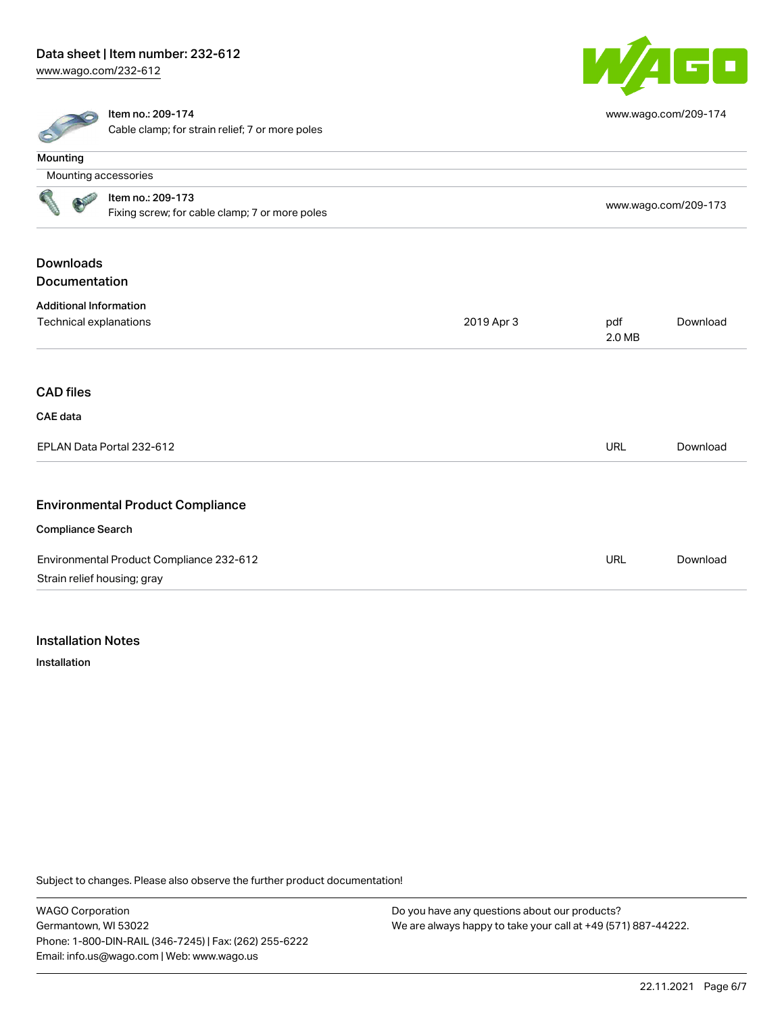# Data sheet | Item number: 232-612

[www.wago.com/232-612](http://www.wago.com/232-612)



[www.wago.com/209-174](http://www.wago.com/209-174)



#### Item no.: 209-174

Cable clamp; for strain relief; 7 or more poles

| <b>Mounting</b>               |                                                                     |                      |               |          |
|-------------------------------|---------------------------------------------------------------------|----------------------|---------------|----------|
|                               | Mounting accessories                                                |                      |               |          |
|                               | Item no.: 209-173<br>Fixing screw; for cable clamp; 7 or more poles | www.wago.com/209-173 |               |          |
| <b>Downloads</b>              |                                                                     |                      |               |          |
| Documentation                 |                                                                     |                      |               |          |
| <b>Additional Information</b> |                                                                     |                      |               |          |
| Technical explanations        |                                                                     | 2019 Apr 3           | pdf<br>2.0 MB | Download |
| <b>CAD</b> files              |                                                                     |                      |               |          |
| <b>CAE</b> data               |                                                                     |                      |               |          |
|                               | EPLAN Data Portal 232-612                                           |                      | URL           | Download |
|                               | <b>Environmental Product Compliance</b>                             |                      |               |          |
| <b>Compliance Search</b>      |                                                                     |                      |               |          |
|                               | Environmental Product Compliance 232-612                            |                      | <b>URL</b>    | Download |
|                               | Strain relief housing; gray                                         |                      |               |          |

### Installation Notes

Installation

Subject to changes. Please also observe the further product documentation!

WAGO Corporation Germantown, WI 53022 Phone: 1-800-DIN-RAIL (346-7245) | Fax: (262) 255-6222 Email: info.us@wago.com | Web: www.wago.us